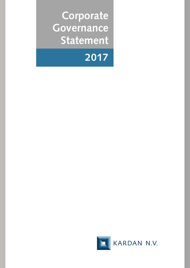**Corporate Governance Statement**



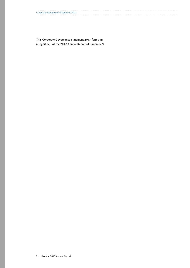**This Corporate Governance Statement 2017 forms an integral part of the 2017 Annual Report of Kardan N.V.**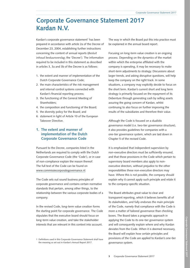# **Corporate Governance Statement 2017 Kardan N.V.**

Kardan's corporate governance statement<sup>1</sup> has been prepared in accordance with article 2a of the Decree of December 23, 2004, establishing further instructions concerning the content of annual reports (*Besluit inhoud bestuursverslag*; the 'Decree'). The information required to be included in this statement as described in articles 3, 3a and 3b of the Decree is as follows:

- 1. the extent and manner of implementation of the Dutch Corporate Governance Code;
- 2. the main characteristics of the risk management and internal control systems connected with Kardan's financial reporting process;
- 3. the functioning of the General Meeting of Shareholders;
- 4. the composition and functioning of the Board;
- 5. the diversity policy for the Board; and
- 6. statement in light of Article 10 of the European Takeover Directive.

# **1. The extent and manner of implementation of the Dutch Corporate Governance Code**

Pursuant to the Decree, companies listed in the Netherlands are required to comply with the Dutch Corporate Governance Code (the 'Code'), or in case of non-compliance explain the reason thereof. The full text of the Code can be found on [www.commissiecorporategovernance.nl](https://www.mccg.nl/).

The Code sets out sound business principles of corporate governance and contains certain normative standards that pertain, among other things, to the relationship between the various corporate bodies of a company.

In the revised Code, long-term value creation forms the starting point for corporate governance. The Code stipulates that the executive board should focus on long-term value creation, and take the stakeholder interests that are relevant in this context into account.

The way in which the Board put this into practice must be explained in the annual board report.

Focusing on long-term value creation is an ongoing process. Depending on the dynamics of the market within which the enterprise affiliated with the company is operating, it may be necessary to make short-term adjustments to strategy. Discussions about larger trends, and asking disruptive questions, will help keep the company on the right track. In some situations, a company may explicitly decide to focus on the short term. Kardan's current short and long term strategy is primarily focused on the repayment of its Debenture through generating cash by selling assets assuring the going concern of Kardan, whilst continuing to also focus on further improving the results of the subsidiaries and therefore their value.

Although the Code is focused on a dualistic governance model (i.e. two-tier governance structure), it also provides guidelines for companies with a one-tier governance system, which are laid down in Chapter 5 of the revised Code.

It is emphasized that independent supervision by non-executive directors must be sufficiently ensured, and that those provisions in the Code which pertain to supervisory board members also apply to nonexecutive directors, without prejudice to the other responsibilities these non-executive directors may have. Where this is not possible, the company should explain why it cannot apply such principle and relate it to the company-specific situation.

The Board attributes great value to clear and transparent reporting, which it believes benefits all of its stakeholders, and fully endorses the main principle of the Code, namely that compliance with the Code is more a matter of tailored governance than checking boxes. The Board takes a pragmatic approach in applying the Code to its one-tier governance system and will consequently explain where and why Kardan deviates from the Code. When it is deemed necessary, the Board will explain how certain principles and provisions of the Code are applied to Kardan's one-tier governance system.

<sup>1</sup> Definitions used in this Corporate Governance Statement shall have the meaning as set out in Kardan's Annual Report 2017.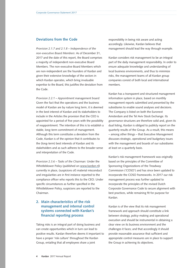# **Deviations from the Code**

*Provision 2.1.7 and 2.1.8 – Independence of the non-executive Board Members*: As of December 31, 2017 and the date of this report, the Board comprises a majority of independent non-executive Board Members. The non-executive Board Members which are non-independent are the founders of Kardan and given their extensive knowledge of the sectors in which Kardan operates, which bring invaluable expertise to the Board, this justifies the deviation from the Code.

*Provision 2.2.1 – Appointment management board:* Given the fact that the operations and the business model of Kardan are by nature long term, it is deemed in the best interest of Kardan and its stakeholders to include in the Articles the provision that the CEO is appointed for a period of five years with the possibility of reappointment. The intention of this is to establish a stable, long-term commitment of management. Although this term constitutes a deviation from the Code, Kardan is of the opinion that it contributes to the (long-term) best interests of Kardan and its stakeholders and as such adheres to the broader sense and interpretation of the Code.

*Provision 2.3.6 – Tasks of the Chairman:* Under the Whistleblower Policy (published on [www.kardan.nl](https://www.kardan.nl)) currently in place, (suspicions of) material misconduct and irregularities are in first instance reported to the compliance officer who reports this to the CEO. Under specific circumstances as further specified in the Whistleblower Policy, suspicions are reported to the Chairman.

# **2. Main characteristics of the risk management and internal control systems connected with Kardan's financial reporting process**

Taking risks is an integral part of doing business and can create opportunities which in turn can lead to positive results. Kardan therefore deems it important to have a proper 'risk culture' throughout the Kardan Group, entailing that all employees share a joint

responsibility in being risk aware and acting accordingly. Likewise, Kardan believes that management should lead the way through example.

Kardan considers risk management to be an integral part of the daily management responsibility. In order to ensure adequate knowledge and understanding of local business environments, and thus to minimize risks, the management teams of all Kardan group companies consist of both local and international members.

Kardan has a transparent and structured management information system in place, based on monthly management reports submitted and presented by the subsidiaries to enable sound analyses and decisions. The Company is listed on both the Euronext Amsterdam and the Tel Aviv Stock Exchange. Its governance structures are therefore solid and, given its dual listing, Kardan is obliged to publicly report on the quarterly results of the Group. As a result, this means – among other things – that Executive Management discusses strategic, operational and budgetary issues with the management and boards of our subsidiaries at least on a quarterly basis.

Kardan's risk management framework was originally based on the principles of the Committee of Sponsoring Organizations of the Treadway Commission ('COSO') and has since been updated to incorporate the COSO frameworks. In 2017 our risk management process was further updated to incorporate the principles of the revised Dutch Corporate Governance Code to secure alignment with best practices, while remaining fit for purpose for Kardan.

Kardan is of the view that its risk management framework and approach should constitute a link between strategy, policy-making and operational execution and should be instrumental in obtaining a clear view on its business environment and the challenges it faces; and that accordingly it should provide reasonable assurance that sufficient and appropriate control measures are in place to support the Group in achieving its objectives.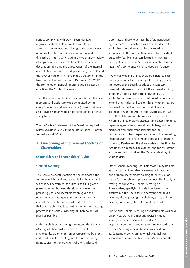Besides complying with Dutch Securities Law regulations, Kardan also complies with Israel's Securities Law regulations relating to the effectiveness of internal control over financial reporting and disclosure ('Israeli SOX'). During the year under review all steps have been taken to be able to provide a declaration regarding the effectiveness of the internal control. Based upon the work performed, the CEO and the CFO of Kardan N.V. have made a statement in the Israeli Annual Report that as of December 31, 2017 the control over financial reporting and disclosure is effective ('the Control Statement').

The effectiveness of the internal controls over financial reporting and disclosure was also audited by the Group's external auditors. Kardan's (main) subsidiaries also provide Kardan with a representation letter on a yearly basis.

The In-Control Statement of the Board, as required by Dutch Securities Law, can be found on page 40 of the Annual Report 2017.

# **3. Functioning of the General Meeting of Shareholders:**

# **Shareholders and Shareholders' Rights**

## **General Meeting**

The Annual General Meeting of Shareholders is the forum in which the Board accounts for the manner in which it has performed its duties. The CEO gives a presentation on business developments over the preceding year and shareholders are given the opportunity to raise questions on the business and current matters. Kardan considers it to be in its interest that the shareholders take part in the decision-making process in the General Meeting of Shareholders as much as possible.

Each shareholder has the right to attend the General Meeting of Shareholders which is held in the Netherlands, either in person or represented by proxy, and to address the meeting and to exercise voting rights subject to the provisions of the Articles and

Dutch law. A shareholder has the aforementioned rights if he/she is registered as a shareholder on the applicable record date as set by the Board and announced in the convocation notice. To the extent practically feasible, investors located in Israel can participate in a General Meeting of Shareholders by means of a conference call or a video conference.

A General Meeting of Shareholders is held at least once a year in order to, among other things, discuss the report of the Board, to adopt the statutory financial statements, to appoint the external auditor, to adopt any proposal concerning dividends, to, if applicable, appoint and reappoint board members, to amend the Articles and to consider any other matters proposed by the Board or the shareholders in accordance with the Articles and Dutch law. Pursuant to both Dutch law and the Articles, the General Meeting of Shareholders discusses and passes, under a separate agenda item, resolutions discharging board members from their responsibilities for the performance of their respective duties in the preceding financial year. This discharge only pertains to matters known to Kardan and the shareholders at the time the resolution is adopted. The external auditor will attend and be entitled to address the General Meeting of Shareholders.

Other General Meetings of Shareholders may be held as often as the Board deems necessary. In addition, one or more shareholders holding at least 10% of Kardan's issued share capital can request the Board, in writing, to convene a General Meeting of Shareholders, specifying in detail the items to be discussed. If the Board fails to convene and hold a meeting, the requesting shareholder(s) may call the meeting, observing Dutch law and the Articles.

The Annual General Meeting of Shareholders was held on 24 May 2017. The meeting topics included amongst others the Annual Report 2016, Board reappointments and remuneration, An Extraordinary General Meeting of Shareholders was held on 12 September 2017, during which Ms. Tall was appointed as non-executive Board Member and the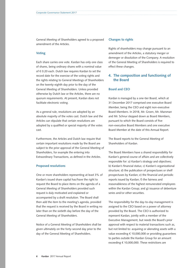General Meeting of Shareholders agreed to a proposed amendment of the Articles.

## **Voting**

Each share carries one vote. Kardan has only one class of shares, being ordinary shares with a nominal value of € 0.20 each. Dutch law requires Kardan to set the record date for the exercise of the voting rights and the rights relating to General Meetings of Shareholders on the twenty-eighth day prior to the day of the General Meeting of Shareholders. Unless provided otherwise by Dutch law or the Articles, there are no quorum requirements. At present, Kardan does not facilitate electronic voting.

As a general rule, resolutions are adopted by an absolute majority of the votes cast. Dutch law and the Articles can stipulate that certain resolutions are adopted by a qualified or special majority of the votes cast.

Furthermore, the Articles and Dutch law require that certain important resolutions made by the Board are subject to the prior approval of the General Meeting of Shareholders, for example the entering into Extraordinary Transactions, as defined in the Articles.

## **Proposed resolutions**

One or more shareholders representing at least 3% of Kardan's issued share capital has/have the right to request the Board to place items on the agenda of a General Meeting of Shareholders provided such request is duly motivated and explained or accompanied by a draft resolution. The Board shall then add the item to the meeting's agenda, provided that the request is received by the Board in writing no later than on the sixtieth day before the day of the General Meeting of Shareholders.

Notice of a General Meeting of Shareholders shall be given ultimately on the forty-second day prior to the day of the General Meeting of Shareholders.

## **Changes to rights**

Rights of shareholders may change pursuant to an amendment of the Articles, a statutory merger or demerger or dissolution of the Company. A resolution of the General Meeting of Shareholders is required to effect these changes.

# **4. The composition and functioning of the Board**

# **Board and CEO**

Kardan is managed by a one-tier Board, which at 31 December 2017 comprised one executive Board Member, being the CEO and eight non-executive Board Members. In 2018, Mr. Groen, Mr. Marsman and Mr. Schnur stepped down as Board Members, pursuant to which the Board consists of five non-executive Board Members and one executive Board Member at the date of this Annual Report.

The Board reports to the General Meeting of Shareholders of Kardan.

The Board Members have a shared responsibility for Kardan's general course of affairs and are collectively responsible for: a) Kardan's strategy and objectives; b) Kardan's financial status; c) Kardan's organizational structure; d) the publication of prospectuses or shelf prospectuses by Kardan; e) the financial and periodic reports issued by Kardan; f) the fairness and reasonableness of the highest remunerated employees within the Kardan Group; and g) issuance of debenture series and/or other securities.

The responsibility for the day-to-day management is assigned to the CEO based on a power of attorney provided by the Board. The CEO is authorized to represent Kardan, jointly with a member of the Executive Management, but needs the Board's prior approval with respect to material transactions such as, but not limited to: acquiring or alienating assets with a value exceeding € 10,000,000 or providing guarantees to parties outside the Kardan Group for an amount exceeding € 10,000,000. These restrictions are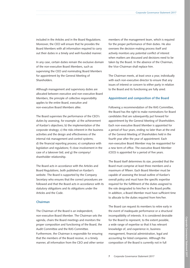included in the Articles and in the Board Regulations. Moreover, the CEO will ensure that he provides the Board Members with all information required to carry out their duties in a timely and well-founded manner.

In any case, certain duties remain the exclusive domain of the non-executive Board Members, such as supervising the CEO and nominating Board Members for appointment by the General Meeting of Shareholders.

Although management and supervisory duties are allocated between executive and non-executive Board Members, the principle of collective responsibility applies to the entire Board, executive and non-executive Board Members alike.

The Board supervises the performance of the CEO's duties by assessing, for example: a) the achievement of Kardan's objectives; b) the implementation of the corporate strategy; c) the risks inherent in the business activities and the design and effectiveness of the internal risk management and control systems; d) the financial reporting process; e) compliance with legislation and regulations; f) close involvement in the case of a takeover bid; and g) the company/ shareholder relationship.

The Board acts in accordance with the Articles and Board Regulations, both published on Kardan's website. The Board is supported by the Company Secretary who ensures that the correct procedures are followed and that the Board acts in accordance with its statutory obligations and its obligations under the Articles and the Code.

# **Chairman**

The Chairman of the Board is an independent, non-executive Board Member. The Chairman sets the agenda, chairs the Board meetings and monitors the proper composition and functioning of the Board, the Audit Committee and the RAS Committee. Furthermore, the Chairman is responsible for ensuring that the members of the Board receive, in a timely manner, all information from the CEO and other senior members of the management team, which is required for the proper performance of their duties. He also oversees the decision-making process itself and actively monitors any potential conflict of interest when matters are discussed and decisions need to be taken by the Board. In the absence of the Chairman, the Vice-Chairman shall replace him.

The Chairman meets, at least once a year, individually with each non-executive director to ensure that any issues of interest or concern to either party in relation to the Board and its functioning are fully aired.

## **Appointment and composition of the Board**

Following a recommendation of the RAS Committee, the Board has the right to make nominations for Board candidates that are subsequently put forward for appointment by the General Meeting of Shareholders. Each non-executive Board Member is appointed for a period of four years, ending no later than at the end of the General Meeting of Shareholders held in the fourth year after the year of appointment. Each non-executive Board Member may be reappointed for a new term of office. The executive Board Member (CEO) is appointed for a period of five years.

The Board itself determines its size, provided that the Board must comprise at least three members and a maximum of fifteen. Each Board Member must be capable of assessing the broad outline of Kardan's overall policy and must have the specific expertise required for the fulfillment of the duties assigned to the role designated to him/her in the Board profile. In addition, a Board Member must have sufficient time to allocate to the duties required from him/her.

The Board can request its members to retire early in the event of inadequate performance or a structural incompatibility of interests. It is considered desirable for the Board to represent, to the extent possible, a wide range of expertise so that it has relevant knowledge of, and experience in, business management, financial administration, legal and accounting for listed companies. Although the composition of the Board is currently not in full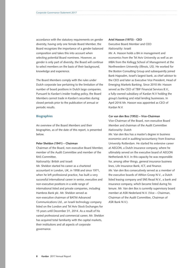accordance with the statutory requirements on gender diversity, having only one female Board Member, the Board recognizes the importance of a gender balanced composition and takes this into account when selecting potential Board nominees. However, as gender is only part of diversity, the Board will continue to select members on the basis of their background, knowledge and experience.

The Board Members comply with the rules under Dutch corporate law pertaining to the limitation of the number of board positions in Dutch large companies. Pursuant to Kardan's insider trading policy, the Board Members cannot trade in Kardan's securities during closed periods prior to the publication of annual or periodic results.

# **Biographies**

An overview of the Board Members and their biographies, as of the date of this report, is presented below.

#### **Peter Sheldon (1941) – Chairman**

Chairman of the Board, non-executive Board Member, member of the Audit Committee and member of the RAS Committee.

*Nationality*: British and Israeli

Mr. Sheldon started his career as a chartered accountant in London, UK, in 1958 and since 1971, when he left professional practice, has built a very successful international career in senior, executive and non-executive positions in a wide range of international listed and private companies, including Hambros Bank plc. Mr. Sheldon served as non-executive chairman of BATM Advanced Communications Ltd., an Israeli technology company listed on the London and Tel Aviv Stock Exchanges for 15 years until December 31, 2014. As a result of his varied professional and commercial career, Mr. Sheldon has acquired total familiarity with the capital markets, their institutions and all aspects of corporate governance.

#### **Ariel Hasson (1973) - CEO**

Executive Board Member and CEO *Nationality*: Israeli

Mr. A. Hasson holds a BA in management and economics from the Tel Aviv University as well as an MBA from the Kellogg School of Management at the Northwestern University (Illinois, US). He worked for the Boston Consulting Group and subsequently joined Bank Hapoalim, Israel's largest bank, as chief advisor to the CEO and later as Executive Vice President, Head of Emerging Markets Banking. Since 2010 Mr. Hasson served as the CEO of TBIF Financial Services B.V., a fully-owned subsidiary of Kardan N.V holding the group's banking and retail lending businesses. In April 2016 Mr. Hasson was appointed as CEO of Kardan N.V.

## **Cor van den Bos (1952) – Vice-Chairman**

Vice-Chairman of the Board, non-executive Board Member and chairman of the Audit Committee *Nationality*: Dutch

Mr. Van den Bos has a master's degree in business economics and in auditing/accountancy from Erasmus University Rotterdam. He started his extensive career at AEGON, a Dutch insurance company, where he ultimately served on the executive board of AEGON Netherlands N.V. In this capacity he was responsible for, among other things, general insurance business lines, Life Insurance Bank, ICT, and finance. Mr. Van den Bos consecutively served as a member of the executive boards of Athlon Groep N.V., a Dutch listed leasing company and SNS Reaal N.V., a bank and insurance company, which became listed during his tenure. Mr. Van den Bos is currently supervisory board member at ASR Nederland N.V. (Vice – Chairman, Chairman of the Audit Committee, Chairman of ASR Bank N.V.).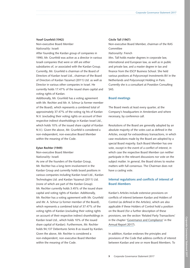#### **Yosef Grunfeld (1942)**

Non-executive Board Member

*Nationality*: Israeli

After founding the Kardan group of companies in 1990, Mr. Grunfeld was active as a director in various Israeli companies that were or still are either subsidiaries of, or associated with the Kardan Group. Currently, Mr. Grunfeld is chairman of the Board of Directors of Kardan Israel Ltd., chairman of the Board of Directors of Kardan Yazamut (2011) Ltd. as well as Director in various other companies in Israel. He currently holds 17.47% of the issued share capital and voting rights of Kardan.

Additionally, Mr. Grunfeld has a voting agreement with Mr. Rechter and Mr. A. Schnur (a former member of the Board), which represents a combined total of approximately 37.47% of the voting rig hts of Kardan N.V. (excluding their voting rights on account of their respective indirect shareholdings in Kardan Israel Ltd., which holds 10% of the issued share capital of Kardan N.V.). Given the above, Mr. Grunfeld is considered a non-independent, non-executive Board Member within the meaning of the Code.

## **Eytan Rechter (1949)**

Non-executive Board Member *Nationality*: Israeli

As one of the founders of the Kardan Group, Mr. Rechter has a long-term involvement in the Kardan Group and currently holds board positions in various companies including Kardan Israel Ltd., Kardan Technologies Ltd. and Kardan Yazamut (2011) Ltd. (none of which are part of the Kardan Group). Mr. Rechter currently holds 3.45% of the issued share capital and voting rights of Kardan. Additionally, Mr. Rechter has a voting agreement with Mr. Grunfeld and Mr. A. Schnur (a former member of the Board), which represents a combined total of 37.47% of the voting rights of Kardan (excluding their voting rights on account of their respective indirect shareholdings in Kardan Israel Ltd., which holds 10% of the issued share capital of Kardan). Furthermore, Mr. Rechter holds 94,137 Debentures Series B as issued by Kardan. Given the above, Mr. Rechter is considered a non-independent, non-executive Board Member within the meaning of the Code.

#### **Cécile Tall (1967)**

Non-executive Board Member, chairman of the RAS Committee

*Nationality*: French

Mrs. Tall holds master degrees in corporate law, international and European law, as well as in public and private law, and a master degree in tax and finance from the ESCP Business School. She held various positions at Polyconcept Investments BV in the Netherlands and Polyconcept Holding in Paris. Currently she is a consultant at Poseidon Consulting SAS.

## **Board meetings**

The Board meets at least every quarter, at the Company's headquarters in Amsterdam and where necessary, by conference call.

Resolutions of the Board are generally adopted by an absolute majority of the votes cast as defined in the Articles, except for extraordinary transactions, in which case resolutions made by the Board are adopted by a special Board majority. Each Board Member has one vote, except in the event of a conflict of interest, in which case the respective Board Member can neither participate in the relevant discussions nor vote on the subject matter. In general, the Board strives to resolve matters with full consensus. The Chairman does not have a casting vote.

# **Internal regulations and conflicts of interest of Board Members**

Kardan's Articles include extensive provisions on conflicts of interest between Kardan and Holders of Control (as defined in the Articles), which are also applicable if these Holders of Control hold a position on the Board (for a further description of these provisions, see the section 'Related Party Transactions' in the chapter '[Governance and Compliance](https://www.kardan.nl/images/annual-report/annual-reports/AR2017.pdf)' in the [Annual Report 2017\)](https://www.kardan.nl/images/annual-report/annual-reports/AR2017.pdf).

In addition, Kardan endorses the principles and provisions of the Code that address conflicts of interest between Kardan and one or more Board Members. To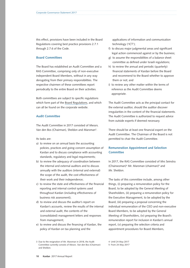this effect, provisions have been included in the Board Regulations covering best practice provisions 2.7.1 through 2.7.6 of the Code.

# **Board Committees**

The Board has established an Audit Committee and a RAS Committee, comprising only of non-executive independent Board Members, without in any way derogating from their primary responsibilities. The respective chairmen of these committees report periodically to the entire Board on their activities.

Both committees are subject to specific regulations which form part of the [Board Regulations](https://www.kardan.nl/about-kardan/governance-policies-documents), and which can all be found on the corporate website.

# **Audit Committee**

The Audit Committee in 2017 consisted of Messrs. Van den Bos (Chairman), Sheldon and Marsman<sup>3</sup>.

Its tasks are:

- a) to review on an annual basis the accounting policies, practices and going-concern assumption of Kardan and to discuss compliance with accounting standards, regulatory and legal requirements;
- b) to review the adequacy of coordination between the internal and external auditors and to discuss annually with the auditors (internal and external) the scope of the audit, the cost effectiveness of their work and their independence;
- c) to review the state and effectiveness of the financial reporting and internal control systems used throughout Kardan (including effectiveness of business risk assessment);
- d) to review and discuss the auditor's report on Kardan's accounts, review the results of the internal and external audit, the contents of the (consolidated) management letters and responses from management;
- e) to review and discuss the financing of Kardan, the policy of Kardan on tax planning and the

applications of information and communication technology ('ICT');

- f) to discuss major judgmental areas and significant legal action commenced against or by the business;
- g) to assume the responsibilities of a balance sheet committee as defined under Israeli regulations;
- h) to review the annual and periodic (quarterly) financial statements of Kardan before the Board and recommend to the Board whether to approve them or not; and
- i) to review any other matter within the terms of reference as the Audit Committee deems appropriate.

The Audit Committee acts as the principal contact for the external auditor, should the auditor discover irregularities in the content of the financial statements. The Audit Committee is authorized to request advice from outside experts if deemed necessary.

There should be at least one financial expert on the Audit Committee. The Chairman of the Board is not permitted to chair the Audit Committee.

# **Remuneration Appointment and Selection Committee**

In 2017, the RAS Committee consisted of Mrs Seinstra (Chairwoman)4 Mr. Marsman (chairman)5 and Mr. Sheldon.

The tasks of this committee include, among other things, (i) preparing a remuneration policy for the Board, to be adopted by the General Meeting of Shareholders, (ii) preparing a remuneration policy for the Executive Management, to be adopted by the Board, (iii) preparing a proposal concerning the individual remuneration of the CEO and non-executive Board Members, to be adopted by the General Meeting of Shareholders, (iv) preparing the Board's remuneration report for inclusion in Kardan's annual report, (v) preparing the selection criteria and appointment procedures for Board Members,

<sup>3</sup> Due to the resignation of Mr. Marsman in 2018, the Audit Committee currently consists of Messrs. Van den Bos (Chairman) and Sheldon.

<sup>4</sup> Until 24 May 2017

<sup>5</sup> From 24 May 2017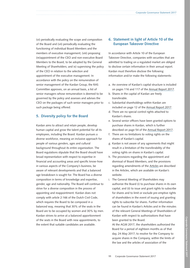(vi) periodically evaluating the scope and composition of the Board and (vii) periodically evaluating the functioning of individual Board Members and the members of executive management; (viii) proposing (re)appointment of the CEO and non-executive Board Members to the Board, to be adopted by the General Meeting of Shareholders; and ix) supervising the policy of the CEO in relation to the selection and appointment of the executive management. In accordance with the policy on the remuneration of senior management of the Kardan Group, the RAS Committee approves, on an annual basis, a list of senior managers whose remuneration is deemed to be governed by the policy and assesses and advises the CEO on the packages of such senior managers prior to such package being offered.

# **5. Diversity policy for the Board**

Kardan aims to attract and retain people, develop human capital and grow the talent potential for all its employees, including the Board. Kardan pursues a diverse workforce, meaning an inclusive approach for people of various genders, ages and cultural background throughout its entire organization. The Board regulations stipulate that the Board should have broad representation with respect to expertise in financial and accounting areas and specific know-how in various aspects of the Company's business, be aware of relevant developments and that a balanced age breakdown is sought for. The Board has a diverse composition in terms of knowledge and expertise, gender, age and nationality. The Board will continue to strive for a diverse composition in the process of appointing and reappointment. Kardan does not comply with article 2:166 of the Dutch Civil Code, which requires the Board to be composed in a balanced way, meaning that 30% of the seats in the Board are to be occupied by women and 30% by men. Kardan strives to arrive at a balanced apportionment of the seats in the Board with new appointments, to the extent that suitable candidates are available.

# **6. Statement in light of Article 10 of the European Takeover Directive**

In accordance with Article 10 of the European Takeover Directive, companies with securities that are admitted to trading on a regulated market are obliged to disclose certain information in their annual report. Kardan must therefore disclose the following information and/or make the following statements:

- a. An overview of Kardan's capital structure is included on pages 116 and 117 of the [Annual Report 2017](https://www.kardan.nl/images/annual-report/annual-reports/AR2017.pdf).
- b. Shares in the capital of Kardan are freely transferable.
- c. Substantial shareholdings within Kardan are included on page 12 of the [Annual Report 2017](https://www.kardan.nl/images/annual-report/annual-reports/AR2017.pdf).
- d. There are no special control rights attached to Kardan's shares.
- e. Several senior officers have been granted options to purchase shares in Kardan, which is further described on page 54 of the [Annual Report 2017](https://www.kardan.nl/images/annual-report/annual-reports/AR2017.pdf).
- f. There are no limitations to voting rights on the shares of Kardan's capital.
- g. Kardan is not aware of any agreements that might result in a limitation of the transferability of the voting rights on shares in Kardan's capital.
- h. The provisions regarding the appointment and dismissal of Board Members, and the provisions regarding amendments of the [Articles](https://www.kardan.nl/about-kardan/governance-policies-documents) are described in the Articles, which are available on Kardan's website.
- i. The General Meeting of Shareholders may authorize the Board (i) to purchase shares in its own capital, and (ii) to issue and grant rights to subscribe for shares and to limit or exclude pre-emptive rights of shareholders in the event of issuing and granting rights to subscribe for shares. Further information can be found in Kardan's Articles and in the minutes of the relevant General Meetings of Shareholders of Kardan with respect to authorizations that have been granted to the Board.

At the AGM 2017, the shareholders authorized the Board for a period of eighteen months as of that day, 24 May 2017, to resolve for the Company to acquire shares in the Company, within the limits of the law and the articles of association of the